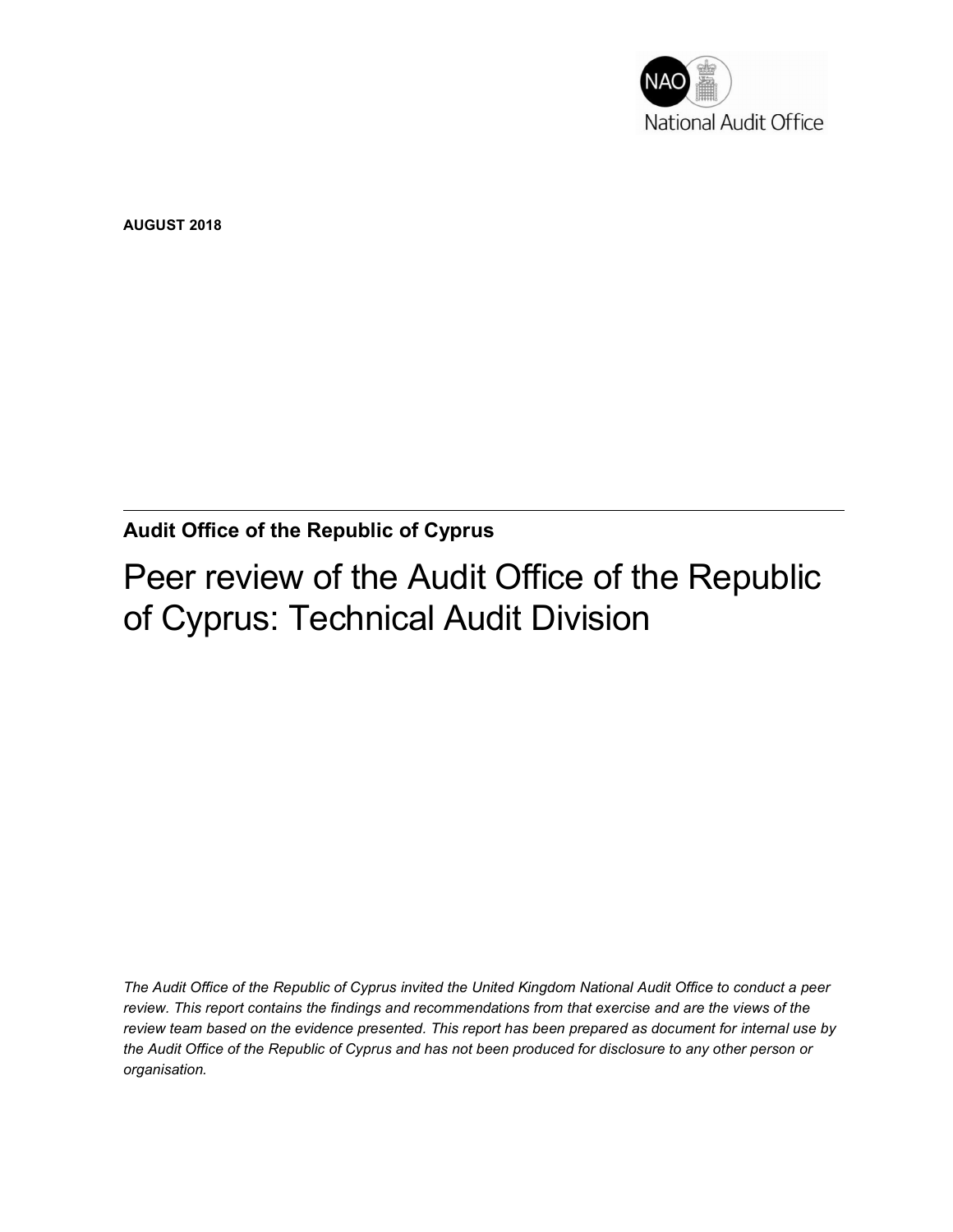

AUGUST 2018

Audit Office of the Republic of Cyprus

Peer review of the Audit Office of the Republic of Cyprus: Technical Audit Division

The Audit Office of the Republic of Cyprus invited the United Kingdom National Audit Office to conduct a peer review. This report contains the findings and recommendations from that exercise and are the views of the review team based on the evidence presented. This report has been prepared as document for internal use by the Audit Office of the Republic of Cyprus and has not been produced for disclosure to any other person or organisation.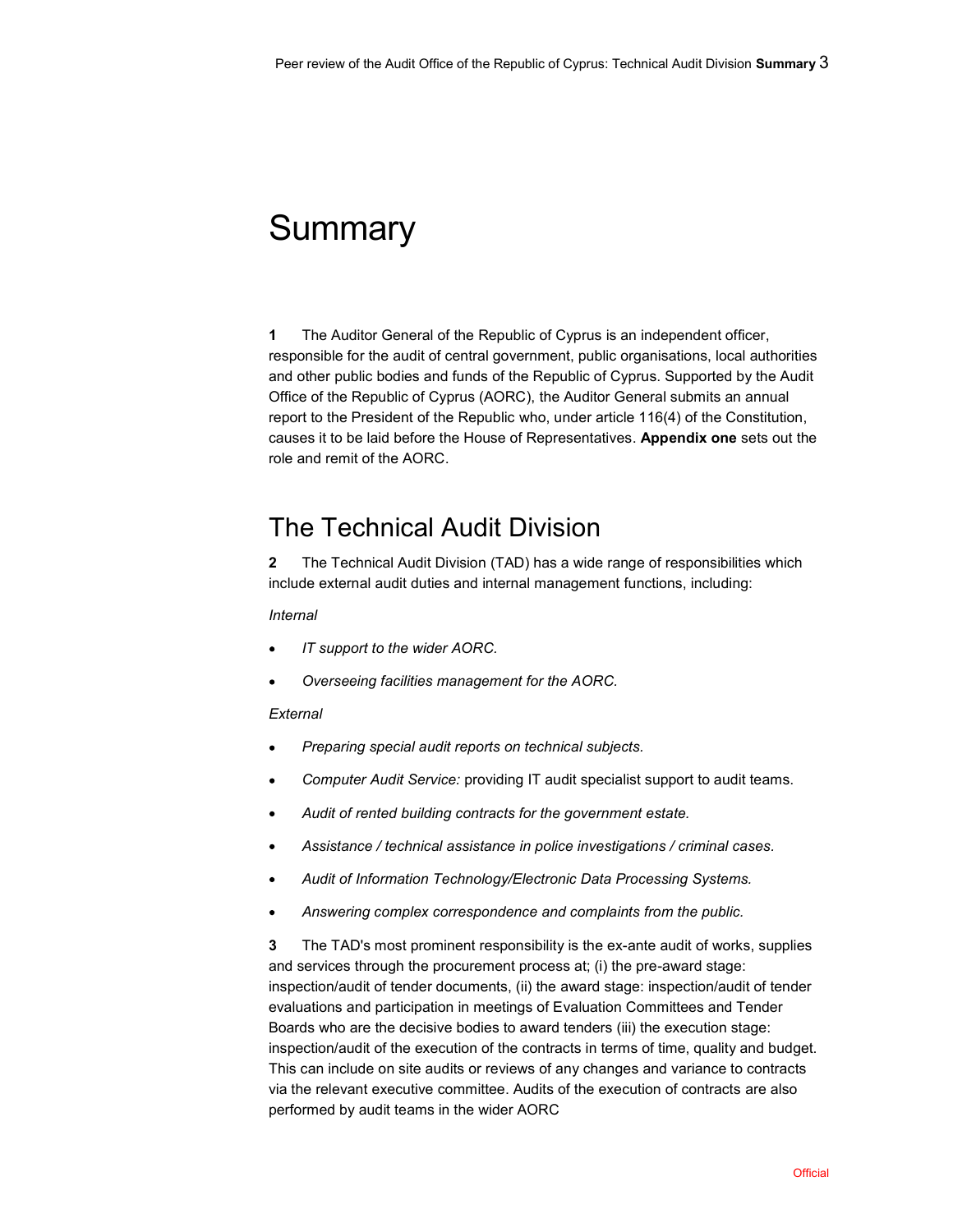# **Summary**

1 The Auditor General of the Republic of Cyprus is an independent officer, responsible for the audit of central government, public organisations, local authorities and other public bodies and funds of the Republic of Cyprus. Supported by the Audit Office of the Republic of Cyprus (AORC), the Auditor General submits an annual report to the President of the Republic who, under article 116(4) of the Constitution, causes it to be laid before the House of Representatives. Appendix one sets out the role and remit of the AORC.

## The Technical Audit Division

2 The Technical Audit Division (TAD) has a wide range of responsibilities which include external audit duties and internal management functions, including:

#### Internal

- IT support to the wider AORC.
- Overseeing facilities management for the AORC.

#### **External**

- Preparing special audit reports on technical subjects.
- Computer Audit Service: providing IT audit specialist support to audit teams.  $\bullet$
- Audit of rented building contracts for the government estate.  $\bullet$
- Assistance / technical assistance in police investigations / criminal cases.  $\bullet$
- Audit of Information Technology/Electronic Data Processing Systems.  $\bullet$
- Answering complex correspondence and complaints from the public.  $\bullet$

3 The TAD's most prominent responsibility is the ex-ante audit of works, supplies and services through the procurement process at; (i) the pre-award stage: inspection/audit of tender documents, (ii) the award stage: inspection/audit of tender evaluations and participation in meetings of Evaluation Committees and Tender Boards who are the decisive bodies to award tenders (iii) the execution stage: inspection/audit of the execution of the contracts in terms of time, quality and budget. This can include on site audits or reviews of any changes and variance to contracts via the relevant executive committee. Audits of the execution of contracts are also performed by audit teams in the wider AORC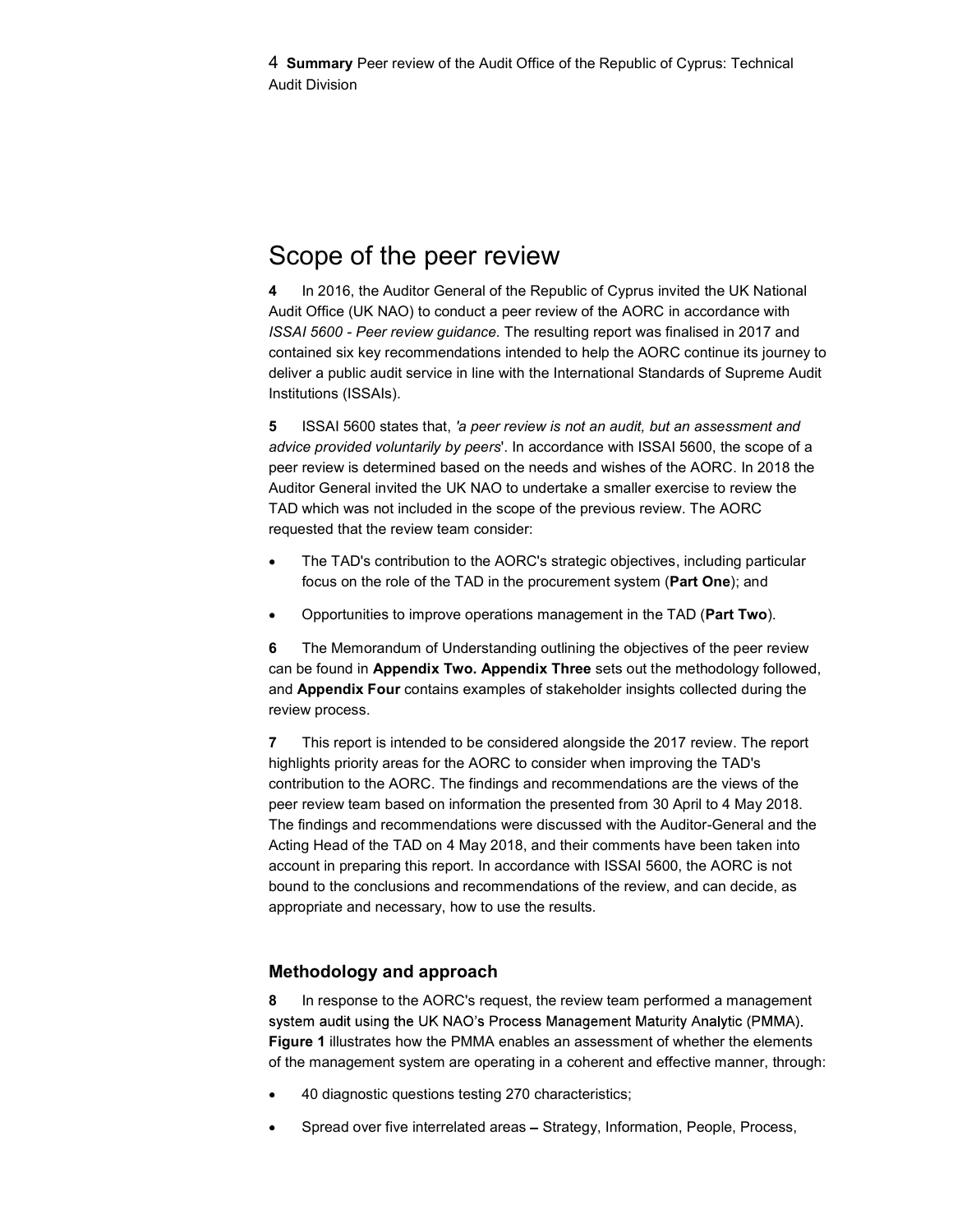# Scope of the peer review

4 In 2016, the Auditor General of the Republic of Cyprus invited the UK National Audit Office (UK NAO) to conduct a peer review of the AORC in accordance with ISSAI 5600 - Peer review guidance. The resulting report was finalised in 2017 and contained six key recommendations intended to help the AORC continue its journey to deliver a public audit service in line with the International Standards of Supreme Audit Institutions (ISSAIs).

5 ISSAI 5600 states that, 'a peer review is not an audit, but an assessment and advice provided voluntarily by peers'. In accordance with ISSAI 5600, the scope of a peer review is determined based on the needs and wishes of the AORC. In 2018 the Auditor General invited the UK NAO to undertake a smaller exercise to review the TAD which was not included in the scope of the previous review. The AORC requested that the review team consider:

- The TAD's contribution to the AORC's strategic objectives, including particular focus on the role of the TAD in the procurement system (Part One); and
- Opportunities to improve operations management in the TAD (Part Two).

6 The Memorandum of Understanding outlining the objectives of the peer review can be found in Appendix Two. Appendix Three sets out the methodology followed, and Appendix Four contains examples of stakeholder insights collected during the review process.

7 This report is intended to be considered alongside the 2017 review. The report highlights priority areas for the AORC to consider when improving the TAD's contribution to the AORC. The findings and recommendations are the views of the peer review team based on information the presented from 30 April to 4 May 2018. The findings and recommendations were discussed with the Auditor-General and the Acting Head of the TAD on 4 May 2018, and their comments have been taken into account in preparing this report. In accordance with ISSAI 5600, the AORC is not bound to the conclusions and recommendations of the review, and can decide, as appropriate and necessary, how to use the results.

### Methodology and approach

8 In response to the AORC's request, the review team performed a management system audit using the UK NAO's Process Management Maturity Analytic (PMMA). Figure 1 illustrates how the PMMA enables an assessment of whether the elements of the management system are operating in a coherent and effective manner, through:

- 40 diagnostic questions testing 270 characteristics;
- Spread over five interrelated areas Strategy, Information, People, Process,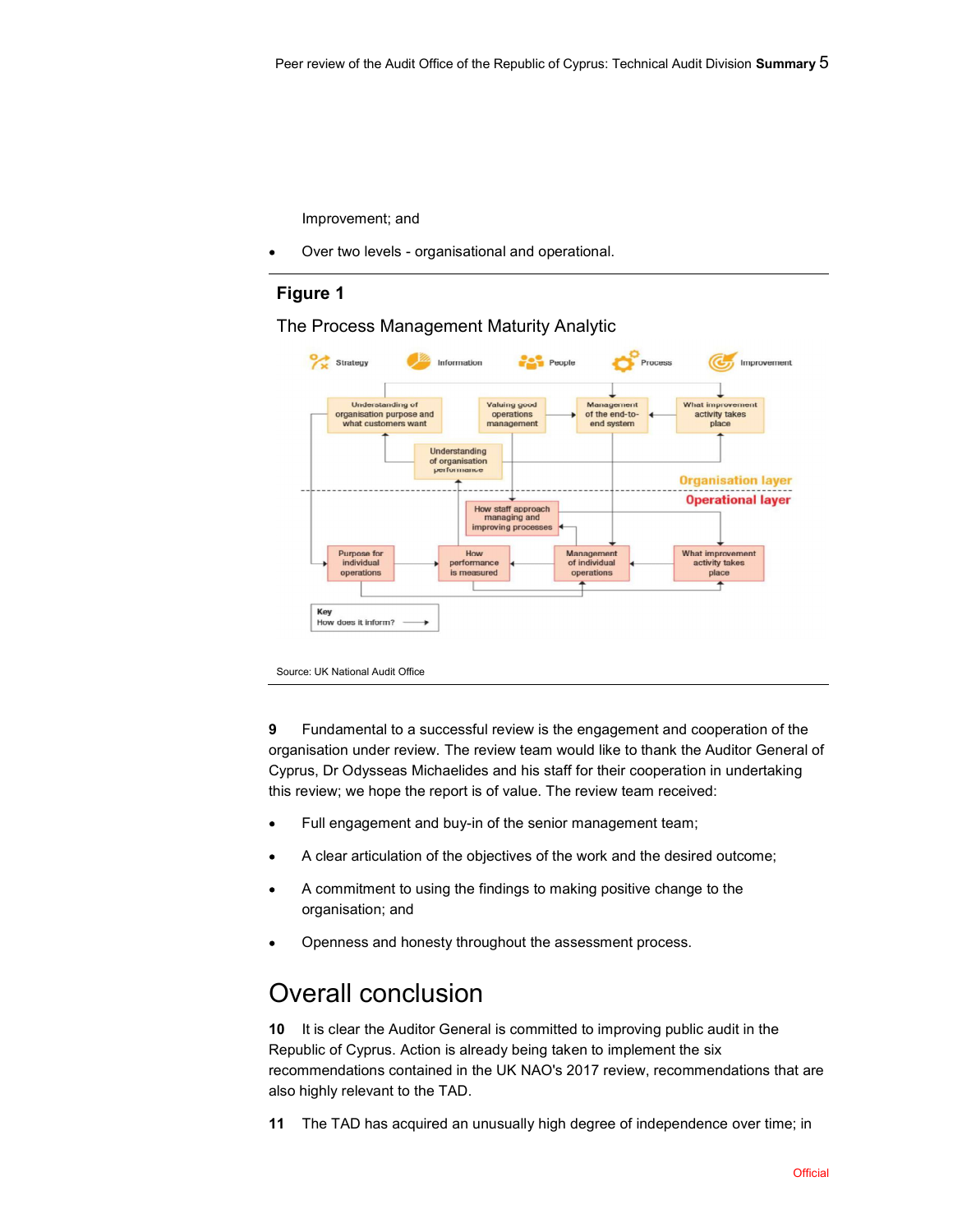Improvement; and

Over two levels - organisational and operational.

### Figure 1

The Process Management Maturity Analytic



9 Fundamental to a successful review is the engagement and cooperation of the organisation under review. The review team would like to thank the Auditor General of Cyprus, Dr Odysseas Michaelides and his staff for their cooperation in undertaking this review; we hope the report is of value. The review team received:

- Full engagement and buy-in of the senior management team;  $\bullet$
- A clear articulation of the objectives of the work and the desired outcome;  $\bullet$
- A commitment to using the findings to making positive change to the  $\bullet$ organisation; and
- Openness and honesty throughout the assessment process.  $\bullet$

### Overall conclusion

10 It is clear the Auditor General is committed to improving public audit in the Republic of Cyprus. Action is already being taken to implement the six recommendations contained in the UK NAO's 2017 review, recommendations that are also highly relevant to the TAD.

11 The TAD has acquired an unusually high degree of independence over time; in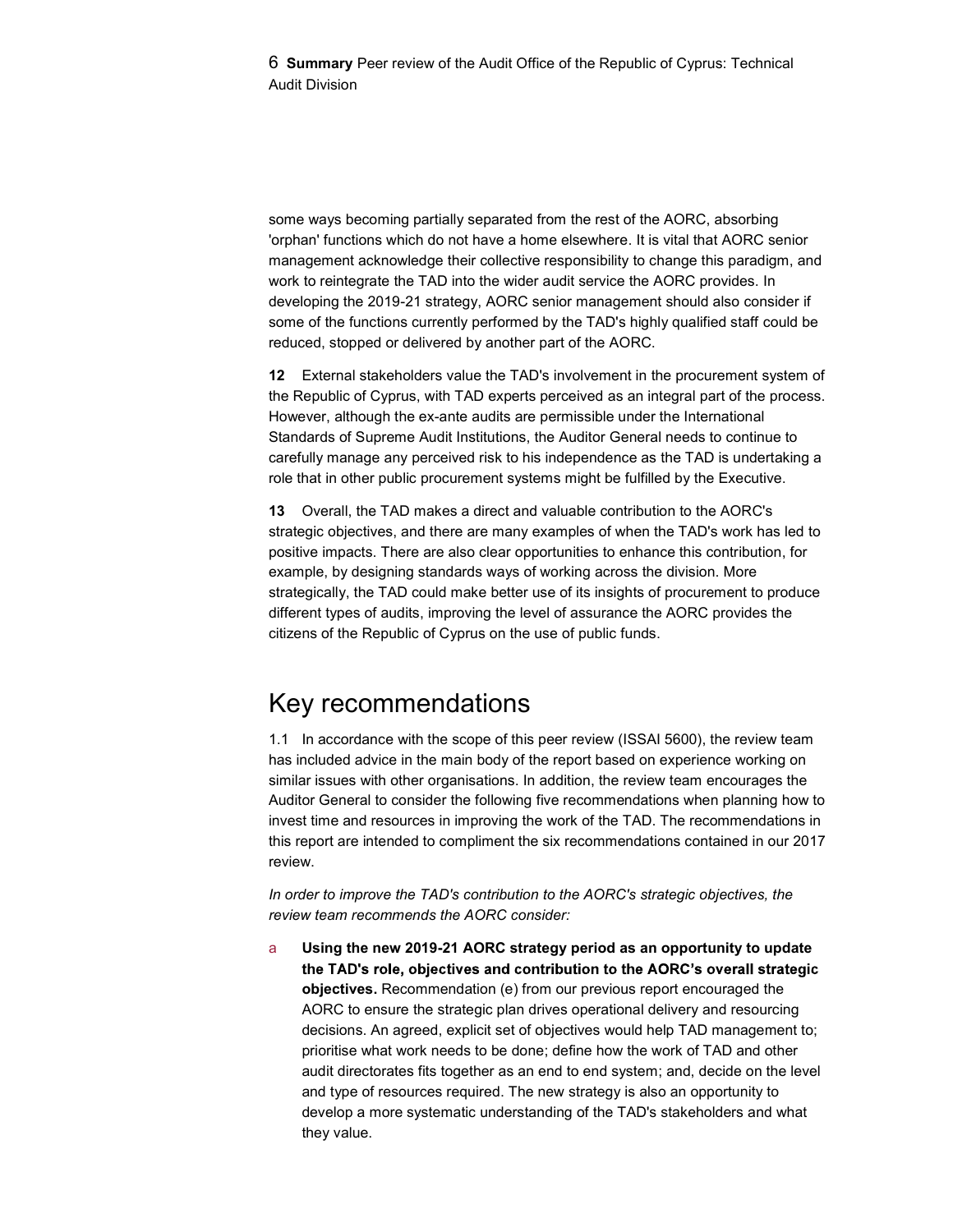6 Summary Peer review of the Audit Office of the Republic of Cyprus: Technical Audit Division

some ways becoming partially separated from the rest of the AORC, absorbing 'orphan' functions which do not have a home elsewhere. It is vital that AORC senior management acknowledge their collective responsibility to change this paradigm, and work to reintegrate the TAD into the wider audit service the AORC provides. In developing the 2019-21 strategy, AORC senior management should also consider if some of the functions currently performed by the TAD's highly qualified staff could be reduced, stopped or delivered by another part of the AORC.

12 External stakeholders value the TAD's involvement in the procurement system of the Republic of Cyprus, with TAD experts perceived as an integral part of the process. However, although the ex-ante audits are permissible under the International Standards of Supreme Audit Institutions, the Auditor General needs to continue to carefully manage any perceived risk to his independence as the TAD is undertaking a role that in other public procurement systems might be fulfilled by the Executive.

13 Overall, the TAD makes a direct and valuable contribution to the AORC's strategic objectives, and there are many examples of when the TAD's work has led to positive impacts. There are also clear opportunities to enhance this contribution, for example, by designing standards ways of working across the division. More strategically, the TAD could make better use of its insights of procurement to produce different types of audits, improving the level of assurance the AORC provides the citizens of the Republic of Cyprus on the use of public funds.

### Key recommendations

1.1 In accordance with the scope of this peer review (ISSAI 5600), the review team has included advice in the main body of the report based on experience working on similar issues with other organisations. In addition, the review team encourages the Auditor General to consider the following five recommendations when planning how to invest time and resources in improving the work of the TAD. The recommendations in this report are intended to compliment the six recommendations contained in our 2017 review.

In order to improve the TAD's contribution to the AORC's strategic objectives, the review team recommends the AORC consider:

a Using the new 2019-21 AORC strategy period as an opportunity to update the TAD's role, objectives and contribution to the AORC's overall strategic objectives. Recommendation (e) from our previous report encouraged the AORC to ensure the strategic plan drives operational delivery and resourcing decisions. An agreed, explicit set of objectives would help TAD management to; prioritise what work needs to be done; define how the work of TAD and other audit directorates fits together as an end to end system; and, decide on the level and type of resources required. The new strategy is also an opportunity to develop a more systematic understanding of the TAD's stakeholders and what they value.